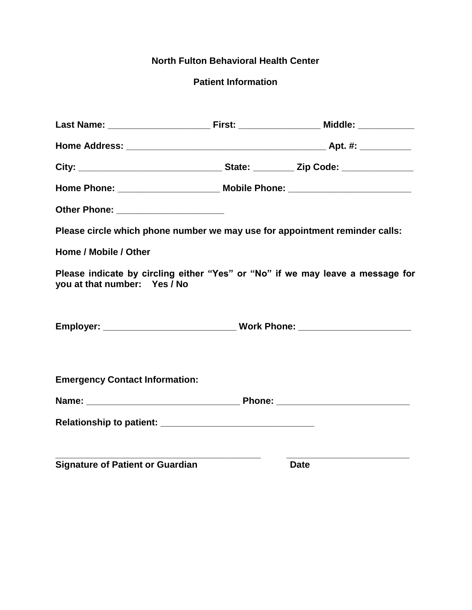# **North Fulton Behavioral Health Center**

# **Patient Information**

|                                         | Home Phone: ___________________________ Mobile Phone: __________________________ |
|-----------------------------------------|----------------------------------------------------------------------------------|
| Other Phone: _______________________    |                                                                                  |
|                                         | Please circle which phone number we may use for appointment reminder calls:      |
| Home / Mobile / Other                   |                                                                                  |
| you at that number: Yes / No            | Please indicate by circling either "Yes" or "No" if we may leave a message for   |
|                                         |                                                                                  |
| <b>Emergency Contact Information:</b>   |                                                                                  |
|                                         |                                                                                  |
|                                         |                                                                                  |
| <b>Signature of Patient or Guardian</b> | <b>Date</b>                                                                      |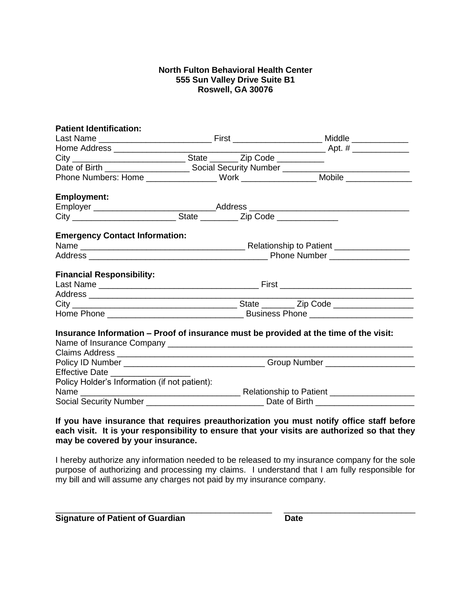#### **North Fulton Behavioral Health Center 555 Sun Valley Drive Suite B1 Roswell, GA 30076**

| <b>Patient Identification:</b>                                                        |  |  |                                                                                   |  |
|---------------------------------------------------------------------------------------|--|--|-----------------------------------------------------------------------------------|--|
|                                                                                       |  |  |                                                                                   |  |
|                                                                                       |  |  |                                                                                   |  |
|                                                                                       |  |  |                                                                                   |  |
|                                                                                       |  |  |                                                                                   |  |
|                                                                                       |  |  | Phone Numbers: Home __________________ Work _________________ Mobile ____________ |  |
| <b>Employment:</b>                                                                    |  |  |                                                                                   |  |
|                                                                                       |  |  |                                                                                   |  |
|                                                                                       |  |  |                                                                                   |  |
| <b>Emergency Contact Information:</b>                                                 |  |  |                                                                                   |  |
|                                                                                       |  |  |                                                                                   |  |
|                                                                                       |  |  |                                                                                   |  |
| <b>Financial Responsibility:</b>                                                      |  |  |                                                                                   |  |
|                                                                                       |  |  |                                                                                   |  |
|                                                                                       |  |  |                                                                                   |  |
|                                                                                       |  |  |                                                                                   |  |
|                                                                                       |  |  |                                                                                   |  |
| Insurance Information – Proof of insurance must be provided at the time of the visit: |  |  |                                                                                   |  |
|                                                                                       |  |  | Policy ID Number ___________________________________Group Number _______________  |  |
| Effective Date ____________                                                           |  |  |                                                                                   |  |
| Policy Holder's Information (if not patient):                                         |  |  |                                                                                   |  |
|                                                                                       |  |  |                                                                                   |  |
|                                                                                       |  |  |                                                                                   |  |

#### **If you have insurance that requires preauthorization you must notify office staff before each visit. It is your responsibility to ensure that your visits are authorized so that they may be covered by your insurance.**

I hereby authorize any information needed to be released to my insurance company for the sole purpose of authorizing and processing my claims. I understand that I am fully responsible for my bill and will assume any charges not paid by my insurance company.

\_\_\_\_\_\_\_\_\_\_\_\_\_\_\_\_\_\_\_\_\_\_\_\_\_\_\_\_\_\_\_\_\_\_\_\_\_\_\_\_\_\_\_\_\_\_ \_\_\_\_\_\_\_\_\_\_\_\_\_\_\_\_\_\_\_\_\_\_\_\_\_\_\_\_

**Signature of Patient of Guardian Community Community Community Community Community Community Community Community**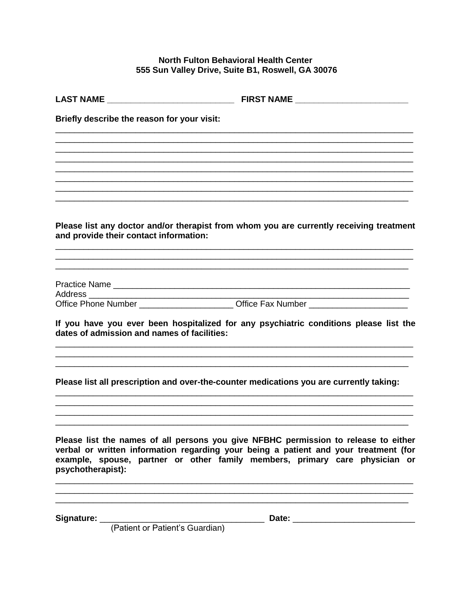### North Fulton Behavioral Health Center 555 Sun Valley Drive, Suite B1, Roswell, GA 30076

| Briefly describe the reason for your visit:                                             |                                                                                                                                                                                                                                                            |  |  |  |
|-----------------------------------------------------------------------------------------|------------------------------------------------------------------------------------------------------------------------------------------------------------------------------------------------------------------------------------------------------------|--|--|--|
|                                                                                         |                                                                                                                                                                                                                                                            |  |  |  |
|                                                                                         |                                                                                                                                                                                                                                                            |  |  |  |
|                                                                                         |                                                                                                                                                                                                                                                            |  |  |  |
| and provide their contact information:                                                  | Please list any doctor and/or therapist from whom you are currently receiving treatment                                                                                                                                                                    |  |  |  |
|                                                                                         |                                                                                                                                                                                                                                                            |  |  |  |
| Office Phone Number _________________________Office Fax Number __________________       |                                                                                                                                                                                                                                                            |  |  |  |
| dates of admission and names of facilities:                                             | If you have you ever been hospitalized for any psychiatric conditions please list the                                                                                                                                                                      |  |  |  |
| Please list all prescription and over-the-counter medications you are currently taking: |                                                                                                                                                                                                                                                            |  |  |  |
| psychotherapist):                                                                       | Please list the names of all persons you give NFBHC permission to release to either<br>verbal or written information regarding your being a patient and your treatment (for<br>example, spouse, partner or other family members, primary care physician or |  |  |  |
| (Patient or Patient's Guardian)                                                         |                                                                                                                                                                                                                                                            |  |  |  |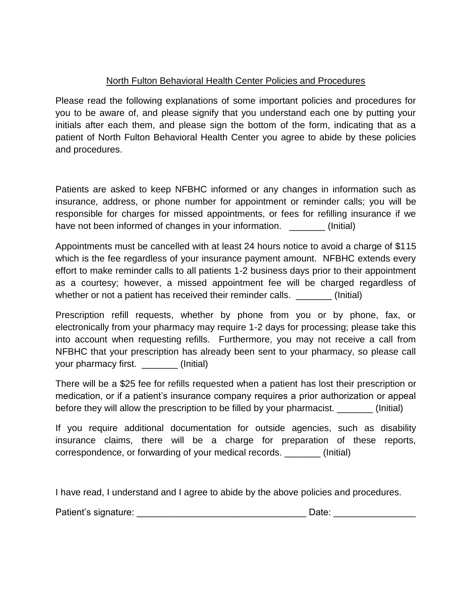# North Fulton Behavioral Health Center Policies and Procedures

Please read the following explanations of some important policies and procedures for you to be aware of, and please signify that you understand each one by putting your initials after each them, and please sign the bottom of the form, indicating that as a patient of North Fulton Behavioral Health Center you agree to abide by these policies and procedures.

Patients are asked to keep NFBHC informed or any changes in information such as insurance, address, or phone number for appointment or reminder calls; you will be responsible for charges for missed appointments, or fees for refilling insurance if we have not been informed of changes in your information.  $\qquad \qquad$  (Initial)

Appointments must be cancelled with at least 24 hours notice to avoid a charge of \$115 which is the fee regardless of your insurance payment amount. NFBHC extends every effort to make reminder calls to all patients 1-2 business days prior to their appointment as a courtesy; however, a missed appointment fee will be charged regardless of whether or not a patient has received their reminder calls. \_\_\_\_\_\_\_\_ (Initial)

Prescription refill requests, whether by phone from you or by phone, fax, or electronically from your pharmacy may require 1-2 days for processing; please take this into account when requesting refills. Furthermore, you may not receive a call from NFBHC that your prescription has already been sent to your pharmacy, so please call your pharmacy first. \_\_\_\_\_\_\_ (Initial)

There will be a \$25 fee for refills requested when a patient has lost their prescription or medication, or if a patient's insurance company requires a prior authorization or appeal before they will allow the prescription to be filled by your pharmacist.  $\qquad \qquad$  (Initial)

If you require additional documentation for outside agencies, such as disability insurance claims, there will be a charge for preparation of these reports, correspondence, or forwarding of your medical records. \_\_\_\_\_\_\_ (Initial)

I have read, I understand and I agree to abide by the above policies and procedures.

Patient's signature: example and the patient's signature: example and the patient's signature: